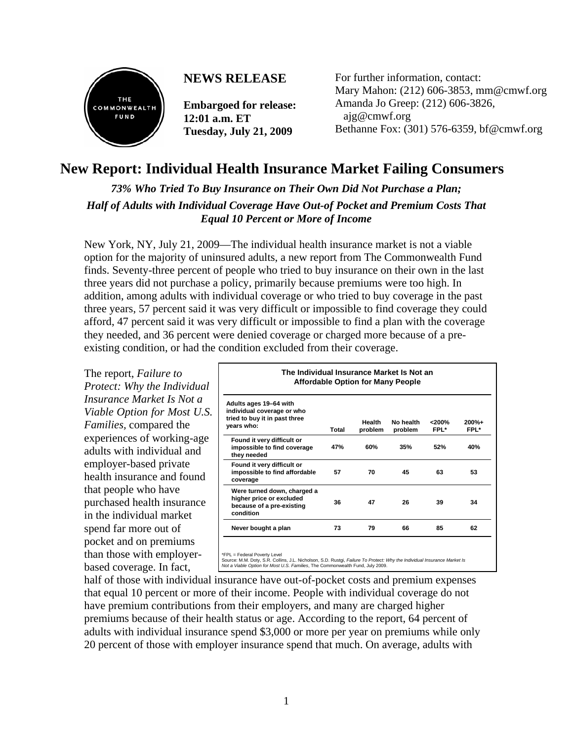

## **NEWS RELEASE**

**Embargoed for release: 12:01 a.m. ET Tuesday, July 21, 2009** 

For further information, contact: Mary Mahon: (212) 606-3853, mm@cmwf.org Amanda Jo Greep: (212) 606-3826, ajg@cmwf.org Bethanne Fox: (301) 576-6359, bf@cmwf.org

# **New Report: Individual Health Insurance Market Failing Consumers**

*73% Who Tried To Buy Insurance on Their Own Did Not Purchase a Plan; Half of Adults with Individual Coverage Have Out-of Pocket and Premium Costs That Equal 10 Percent or More of Income*

New York, NY, July 21, 2009—The individual health insurance market is not a viable option for the majority of uninsured adults, a new report from The Commonwealth Fund finds. Seventy-three percent of people who tried to buy insurance on their own in the last three years did not purchase a policy, primarily because premiums were too high. In addition, among adults with individual coverage or who tried to buy coverage in the past three years, 57 percent said it was very difficult or impossible to find coverage they could afford, 47 percent said it was very difficult or impossible to find a plan with the coverage they needed, and 36 percent were denied coverage or charged more because of a preexisting condition, or had the condition excluded from their coverage.

The report, *Failure to Protect: Why the Individual Insurance Market Is Not a Viable Option for Most U.S. Families,* compared the experiences of working-age adults with individual and employer-based private health insurance and found that people who have purchased health insurance in the individual market spend far more out of pocket and on premiums than those with employerbased coverage. In fact,

| Adults ages 19-64 with<br>individual coverage or who                                              |       |                   |                      |                  |                 |
|---------------------------------------------------------------------------------------------------|-------|-------------------|----------------------|------------------|-----------------|
| tried to buy it in past three<br>years who:                                                       | Total | Health<br>problem | No health<br>problem | $<$ 200%<br>FPL* | $200%+$<br>FPL* |
| Found it very difficult or<br>impossible to find coverage<br>they needed                          | 47%   | 60%               | 35%                  | 52%              | 40%             |
| Found it very difficult or<br>impossible to find affordable<br>coverage                           | 57    | 70                | 45                   | 63               | 53              |
| Were turned down, charged a<br>higher price or excluded<br>because of a pre-existing<br>condition | 36    | 47                | 26                   | 39               | 34              |
| Never bought a plan                                                                               | 73    | 79                | 66                   | 85               | 62              |

half of those with individual insurance have out-of-pocket costs and premium expenses that equal 10 percent or more of their income. People with individual coverage do not have premium contributions from their employers, and many are charged higher premiums because of their health status or age. According to the report, 64 percent of adults with individual insurance spend \$3,000 or more per year on premiums while only 20 percent of those with employer insurance spend that much. On average, adults with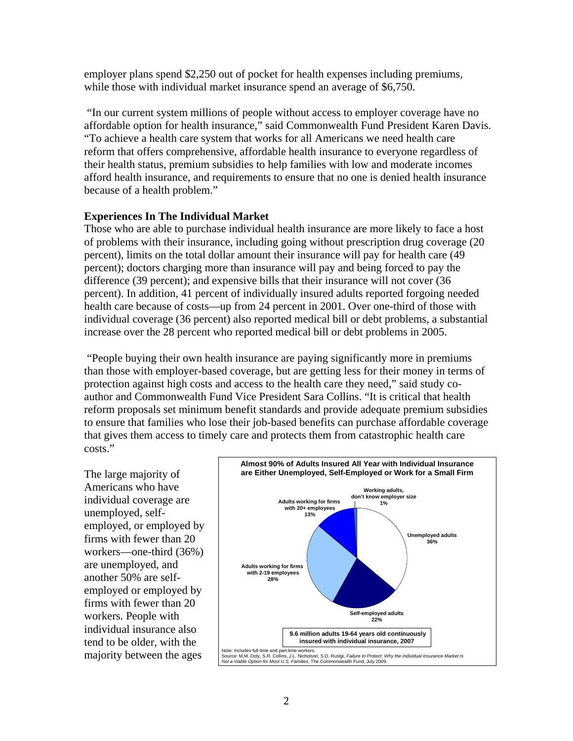employer plans spend \$2,250 out of pocket for health expenses including premiums, while those with individual market insurance spend an average of \$6,750.

 "In our current system millions of people without access to employer coverage have no affordable option for health insurance," said Commonwealth Fund President Karen Davis. "To achieve a health care system that works for all Americans we need health care reform that offers comprehensive, affordable health insurance to everyone regardless of their health status, premium subsidies to help families with low and moderate incomes afford health insurance, and requirements to ensure that no one is denied health insurance because of a health problem."

#### **Experiences In The Individual Market**

Those who are able to purchase individual health insurance are more likely to face a host of problems with their insurance, including going without prescription drug coverage (20 percent), limits on the total dollar amount their insurance will pay for health care (49 percent); doctors charging more than insurance will pay and being forced to pay the difference (39 percent); and expensive bills that their insurance will not cover (36 percent). In addition, 41 percent of individually insured adults reported forgoing needed health care because of costs—up from 24 percent in 2001. Over one-third of those with individual coverage (36 percent) also reported medical bill or debt problems, a substantial increase over the 28 percent who reported medical bill or debt problems in 2005.

 "People buying their own health insurance are paying significantly more in premiums than those with employer-based coverage, but are getting less for their money in terms of protection against high costs and access to the health care they need," said study coauthor and Commonwealth Fund Vice President Sara Collins. "It is critical that health reform proposals set minimum benefit standards and provide adequate premium subsidies to ensure that families who lose their job-based benefits can purchase affordable coverage that gives them access to timely care and protects them from catastrophic health care costs."

The large majority of Americans who have individual coverage are unemployed, selfemployed, or employed by firms with fewer than 20 workers—one-third (36%) are unemployed, and another 50% are selfemployed or employed by firms with fewer than 20 workers. People with individual insurance also tend to be older, with the majority between the ages